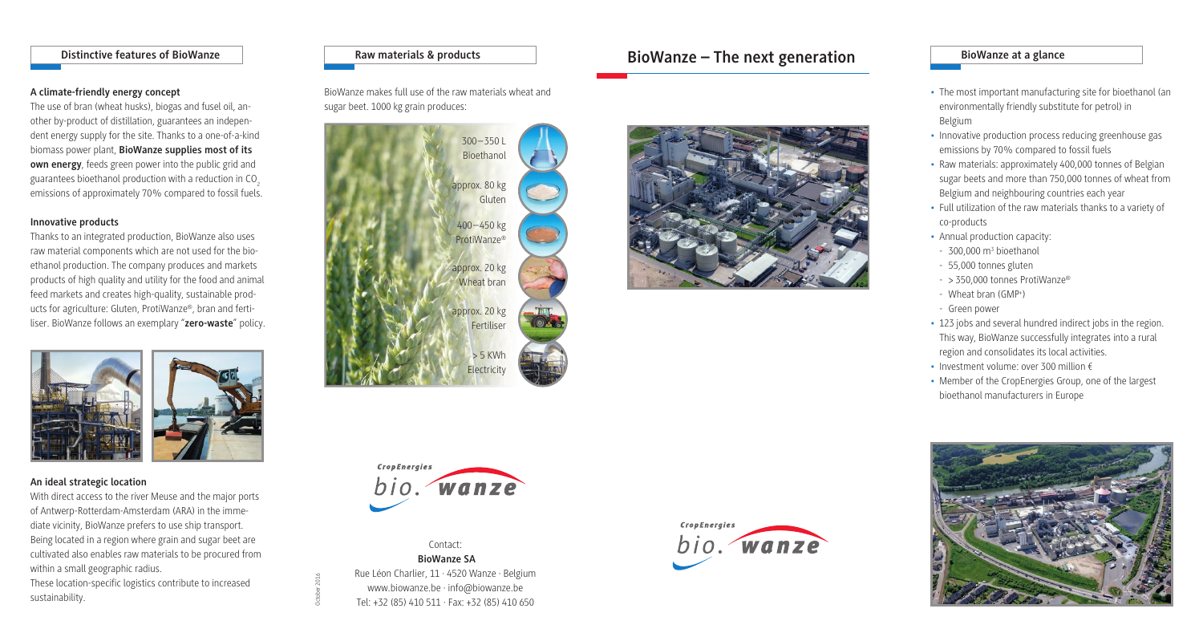- The most important manufacturing site for bioethanol (an environmentally friendly substitute for petrol) in Belgium
- Innovative production process reducing greenhouse gas emissions by 70% compared to fossil fuels
- Raw materials: approximately 400,000 tonnes of Belgian sugar beets and more than 750,000 tonnes of wheat from Belgium and neighbouring countries each year
- Full utilization of the raw materials thanks to a variety of co-products
- Annual production capacity:
- 
- 
- 
- Green power
- 
- 
- 





- $-300,000 \text{ m}^3$  bioethanol
- 55,000 tonnes gluten
- > 350,000 tonnes ProtiWanze®
- Wheat bran (GMP+ )
- 123 jobs and several hundred indirect jobs in the region.
- This way, BioWanze successfully integrates into a rural
- region and consolidates its local activities.
- Investment volume: over 300 million €
- Member of the CropEnergies Group, one of the largest bioethanol manufacturers in Europe







Contact:  **BioWanze SA**  Rue Léon Charlier, 11 · 4520 Wanze · Belgium

October 2016



www.biowanze.be · info@biowanze.be Tel: +32 (85) 410 511 · Fax: +32 (85) 410 650

## **Distinctive features of BioWanze**

## **A climate-friendly energy concept**

The use of bran (wheat husks), biogas and fusel oil, another by-product of distillation, guarantees an independent energy supply for the site. Thanks to a one-of-a-kind biomass power plant, **BioWanze supplies most of its own energy**, feeds green power into the public grid and guarantees bioethanol production with a reduction in CO<sub>2</sub> emissions of approximately 70% compared to fossil fuels.

## **Innovative products**

Thanks to an integrated production, BioWanze also uses raw material components which are not used for the bioethanol production. The company produces and markets products of high quality and utility for the food and animal feed markets and creates high-quality, sustainable products for agriculture: Gluten, ProtiWanze®, bran and fertiliser. BioWanze follows an exemplary "**zero-waste**" policy.



BioWanze makes full use of the raw materials wheat and sugar beet. 1000 kg grain produces:

### **An ideal strategic location**

With direct access to the river Meuse and the major ports of Antwerp-Rotterdam-Amsterdam (ARA) in the immediate vicinity, BioWanze prefers to use ship transport. Being located in a region where grain and sugar beet are cultivated also enables raw materials to be procured from within a small geographic radius.

These location-specific logistics contribute to increased sustainability.

## **Raw materials & products BioWanze – The next generation BioWanze at a glance**